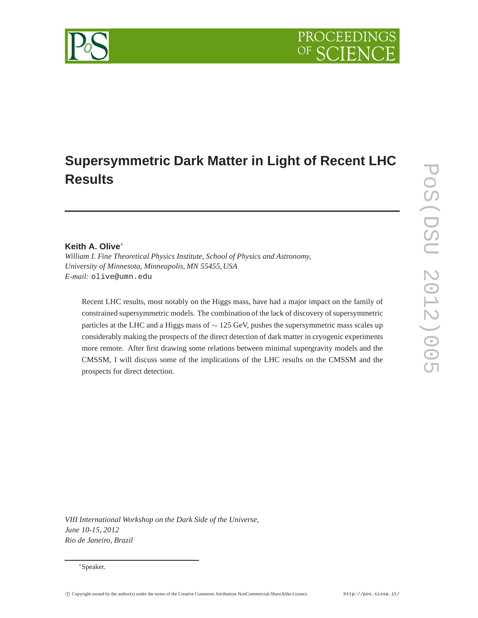# PROCEEDI

# **Supersymmetric Dark Matter in Light of Recent LHC Results**

## **Keith A. Olive**<sup>∗</sup>

*William I. Fine Theoretical Physics Institute, School of Physics and Astronomy, University of Minnesota, Minneapolis, MN 55455, USA E-mail:* olive@umn.edu

Recent LHC results, most notably on the Higgs mass, have had a major impact on the family of constrained supersymmetric models. The combination of the lack of discovery of supersymmetric particles at the LHC and a Higgs mass of ∼ 125 GeV, pushes the supersymmetric mass scales up considerably making the prospects of the direct detection of dark matter in cryogenic experiments more remote. After first drawing some relations between minimal supergravity models and the CMSSM, I will discuss some of the implications of the LHC results on the CMSSM and the prospects for direct detection.

POS(DSD 2012)005 PoS(DSU 2012)005

*VIII International Workshop on the Dark Side of the Universe, June 10-15, 2012 Rio de Janeiro, Brazil*

<sup>∗</sup>Speaker.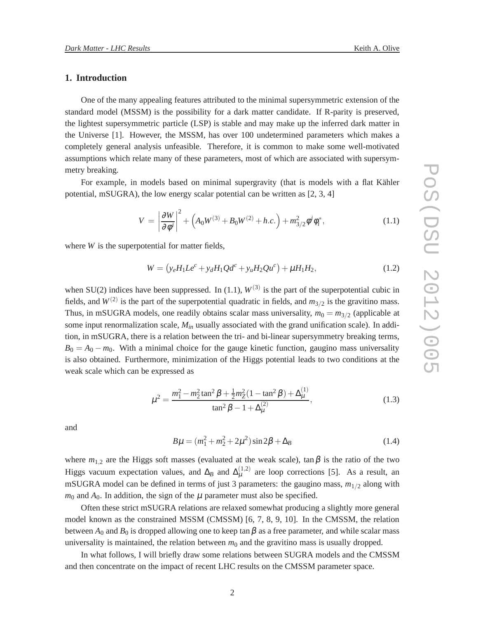## **1. Introduction**

One of the many appealing features attributed to the minimal supersymmetric extension of the standard model (MSSM) is the possibility for a dark matter candidate. If R-parity is preserved, the lightest supersymmetric particle (LSP) is stable and may make up the inferred dark matter in the Universe [1]. However, the MSSM, has over 100 undetermined parameters which makes a completely general analysis unfeasible. Therefore, it is common to make some well-motivated assumptions which relate many of these parameters, most of which are associated with supersymmetry breaking.

For example, in models based on minimal supergravity (that is models with a flat Kähler potential, mSUGRA), the low energy scalar potential can be written as [2, 3, 4]

$$
V = \left| \frac{\partial W}{\partial \phi^i} \right|^2 + \left( A_0 W^{(3)} + B_0 W^{(2)} + h.c. \right) + m_{3/2}^2 \phi^i \phi_i^*,
$$
 (1.1)

where *W* is the superpotential for matter fields,

$$
W = (y_e H_1 L e^c + y_d H_1 Q d^c + y_u H_2 Q u^c) + \mu H_1 H_2,
$$
\n(1.2)

when SU(2) indices have been suppressed. In (1.1),  $W^{(3)}$  is the part of the superpotential cubic in fields, and  $W^{(2)}$  is the part of the superpotential quadratic in fields, and  $m_{3/2}$  is the gravitino mass. Thus, in mSUGRA models, one readily obtains scalar mass universality,  $m_0 = m_{3/2}$  (applicable at some input renormalization scale, *Min* usually associated with the grand unification scale). In addition, in mSUGRA, there is a relation between the tri- and bi-linear supersymmetry breaking terms,  $B_0 = A_0 - m_0$ . With a minimal choice for the gauge kinetic function, gaugino mass universality is also obtained. Furthermore, minimization of the Higgs potential leads to two conditions at the weak scale which can be expressed as

$$
\mu^2 = \frac{m_1^2 - m_2^2 \tan^2 \beta + \frac{1}{2} m_Z^2 (1 - \tan^2 \beta) + \Delta_{\mu}^{(1)}}{\tan^2 \beta - 1 + \Delta_{\mu}^{(2)}},
$$
(1.3)

and

$$
B\mu = (m_1^2 + m_2^2 + 2\mu^2)\sin 2\beta + \Delta_B
$$
 (1.4)

where  $m_{1,2}$  are the Higgs soft masses (evaluated at the weak scale), tan  $\beta$  is the ratio of the two Higgs vacuum expectation values, and  $\Delta_B$  and  $\Delta_{\mu}^{(1,2)}$  are loop corrections [5]. As a result, an mSUGRA model can be defined in terms of just 3 parameters: the gaugino mass,  $m_{1/2}$  along with  $m_0$  and  $A_0$ . In addition, the sign of the  $\mu$  parameter must also be specified.

Often these strict mSUGRA relations are relaxed somewhat producing a slightly more general model known as the constrained MSSM (CMSSM) [6, 7, 8, 9, 10]. In the CMSSM, the relation between  $A_0$  and  $B_0$  is dropped allowing one to keep tan  $\beta$  as a free parameter, and while scalar mass universality is maintained, the relation between  $m_0$  and the gravitino mass is usually dropped.

In what follows, I will briefly draw some relations between SUGRA models and the CMSSM and then concentrate on the impact of recent LHC results on the CMSSM parameter space.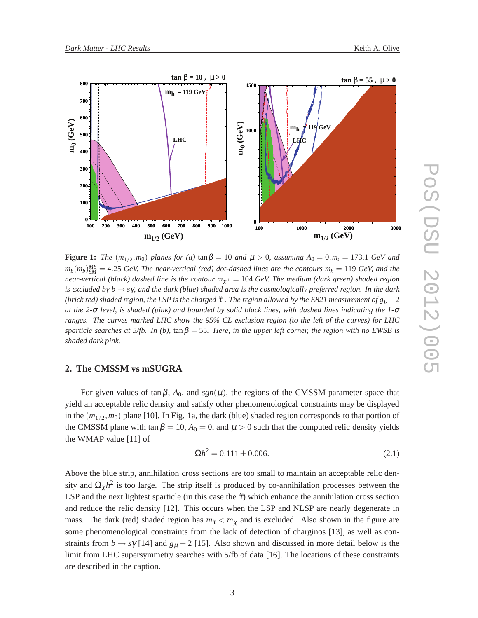

**Figure 1:** *The*  $(m_{1/2}, m_0)$  *planes for* (a)  $\tan \beta = 10$  *and*  $\mu > 0$ , assuming  $A_0 = 0, m_t = 173.1$  *GeV and*  $m_b(m_b)_{SM}^{\overline{MS}} = 4.25$  *GeV. The near-vertical (red) dot-dashed lines are the contours*  $m_h = 119$  *<i>GeV, and the near-vertical (black) dashed line is the contour*  $m_{\gamma^{\pm}} = 104$  *GeV. The medium (dark green) shaded region is excluded by b* → *s*γ*, and the dark (blue) shaded area is the cosmologically preferred region. In the dark (brick red) shaded region, the LSP is the charged*  $\tilde{\tau}_1$ *. The region allowed by the E821 measurement of*  $g_{\mu}$  *– 2 at the 2-*<sup>σ</sup> *level, is shaded (pink) and bounded by solid black lines, with dashed lines indicating the 1-*<sup>σ</sup> *ranges. The curves marked LHC show the 95% CL exclusion region (to the left of the curves) for LHC sparticle searches at 5/fb.* In (b),  $\tan \beta = 55$ . Here, in the upper left corner, the region with no EWSB is *shaded dark pink.*

## **2. The CMSSM vs mSUGRA**

For given values of tan  $\beta$ ,  $A_0$ , and  $sgn(\mu)$ , the regions of the CMSSM parameter space that yield an acceptable relic density and satisfy other phenomenological constraints may be displayed in the (*m*1/<sup>2</sup> ,*m*0) plane [10]. In Fig. 1a, the dark (blue) shaded region corresponds to that portion of the CMSSM plane with tan  $\beta = 10$ ,  $A_0 = 0$ , and  $\mu > 0$  such that the computed relic density yields the WMAP value [11] of

$$
\Omega h^2 = 0.111 \pm 0.006. \tag{2.1}
$$

Above the blue strip, annihilation cross sections are too small to maintain an acceptable relic density and  $\Omega_{\chi}h^2$  is too large. The strip itself is produced by co-annihilation processes between the LSP and the next lightest sparticle (in this case the  $\tilde{\tau}$ ) which enhance the annihilation cross section and reduce the relic density [12]. This occurs when the LSP and NLSP are nearly degenerate in mass. The dark (red) shaded region has  $m_{\tilde{\tau}} < m_{\chi}$  and is excluded. Also shown in the figure are some phenomenological constraints from the lack of detection of charginos [13], as well as constraints from  $b \rightarrow s\gamma$  [14] and  $g_{\mu} - 2$  [15]. Also shown and discussed in more detail below is the limit from LHC supersymmetry searches with 5/fb of data [16]. The locations of these constraints are described in the caption.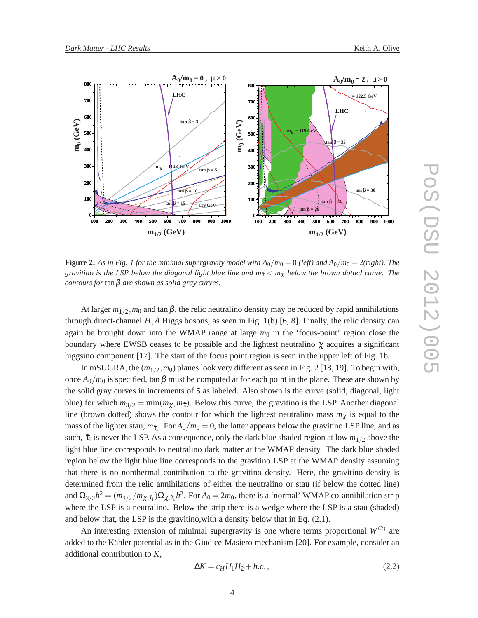

**Figure 2:** As in Fig. 1 for the minimal supergravity model with  $A_0/m_0 = 0$  (left) and  $A_0/m_0 = 2$ (right). The *gravitino is the LSP below the diagonal light blue line and*  $m<sub>\tilde{t}</sub> < m<sub>\gamma</sub>$  *below the brown dotted curve. The contours for* tanβ *are shown as solid gray curves.*

At larger  $m_{1/2}$ ,  $m_0$  and tan  $\beta$ , the relic neutralino density may be reduced by rapid annihilations through direct-channel  $H$ ,  $A$  Higgs bosons, as seen in Fig. 1(b) [6, 8]. Finally, the relic density can again be brought down into the WMAP range at large  $m_0$  in the 'focus-point' region close the boundary where EWSB ceases to be possible and the lightest neutralino  $\chi$  acquires a significant higgsino component [17]. The start of the focus point region is seen in the upper left of Fig. 1b.

In mSUGRA, the  $(m_{1/2}, m_0)$  planes look very different as seen in Fig. 2 [18, 19]. To begin with, once  $A_0/m_0$  is specified, tan  $\beta$  must be computed at for each point in the plane. These are shown by the solid gray curves in increments of 5 as labeled. Also shown is the curve (solid, diagonal, light blue) for which  $m_{3/2} = \min(m_\chi, m_{\tilde{\tau}})$ . Below this curve, the gravitino is the LSP. Another diagonal line (brown dotted) shows the contour for which the lightest neutralino mass  $m<sub>\chi</sub>$  is equal to the mass of the lighter stau,  $m_{\tilde{\tau}_1}$ . For  $A_0/m_0 = 0$ , the latter appears below the gravitino LSP line, and as such,  $\tilde{\tau}_1$  is never the LSP. As a consequence, only the dark blue shaded region at low  $m_{1/2}$  above the light blue line corresponds to neutralino dark matter at the WMAP density. The dark blue shaded region below the light blue line corresponds to the gravitino LSP at the WMAP density assuming that there is no nonthermal contribution to the gravitino density. Here, the gravitino density is determined from the relic annihilations of either the neutralino or stau (if below the dotted line) and  $\Omega_{3/2}h^2 = (m_{3/2}/m_{\chi,\tilde{\tau}_1})\Omega_{\chi,\tilde{\tau}_1}h^2$ . For  $A_0 = 2m_0$ , there is a 'normal' WMAP co-annihilation strip where the LSP is a neutralino. Below the strip there is a wedge where the LSP is a stau (shaded) and below that, the LSP is the gravitino,with a density below that in Eq. (2.1).

An interesting extension of minimal supergravity is one where terms proportional  $W^{(2)}$  are added to the Kähler potential as in the Giudice-Masiero mechanism [20]. For example, consider an additional contribution to *K*,

$$
\Delta K = c_H H_1 H_2 + h.c.,\tag{2.2}
$$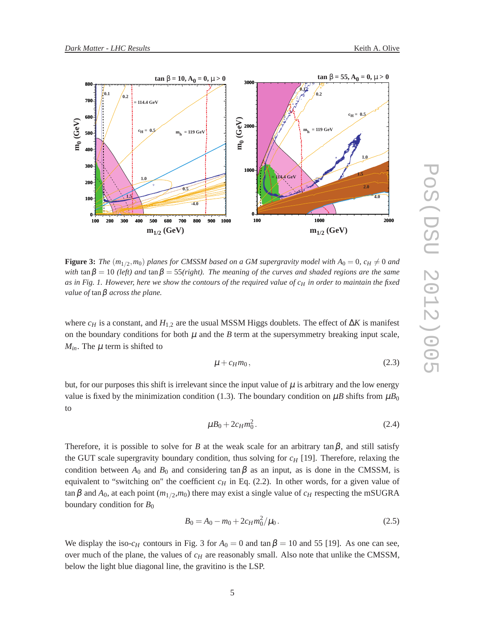

**Figure 3:** The  $(m_{1/2}, m_0)$  planes for CMSSM based on a GM supergravity model with  $A_0 = 0$ ,  $c_H \neq 0$  and *with*  $\tan \beta = 10$  *(left)* and  $\tan \beta = 55$ *(right). The meaning of the curves and shaded regions are the same as in Fig. 1. However, here we show the contours of the required value of c<sup>H</sup> in order to maintain the fixed value of* tanβ *across the plane.*

where *c<sup>H</sup>* is a constant, and *H*1,<sup>2</sup> are the usual MSSM Higgs doublets. The effect of ∆*K* is manifest on the boundary conditions for both  $\mu$  and the  $B$  term at the supersymmetry breaking input scale,  $M_{in}$ . The  $\mu$  term is shifted to

$$
\mu + c_H m_0, \tag{2.3}
$$

but, for our purposes this shift is irrelevant since the input value of  $\mu$  is arbitrary and the low energy value is fixed by the minimization condition (1.3). The boundary condition on  $\mu B$  shifts from  $\mu B_0$ to

$$
\mu B_0 + 2c_H m_0^2. \tag{2.4}
$$

Therefore, it is possible to solve for *B* at the weak scale for an arbitrary tan  $\beta$ , and still satisfy the GUT scale supergravity boundary condition, thus solving for  $c_H$  [19]. Therefore, relaxing the condition between  $A_0$  and  $B_0$  and considering  $\tan \beta$  as an input, as is done in the CMSSM, is equivalent to "switching on" the coefficient  $c_H$  in Eq. (2.2). In other words, for a given value of  $\tan \beta$  and  $A_0$ , at each point  $(m_{1/2}, m_0)$  there may exist a single value of  $c_H$  respecting the mSUGRA boundary condition for  $B_0$ 

$$
B_0 = A_0 - m_0 + 2c_H m_0^2 / \mu_0.
$$
 (2.5)

We display the iso- $c_H$  contours in Fig. 3 for  $A_0 = 0$  and tan  $\beta = 10$  and 55 [19]. As one can see, over much of the plane, the values of  $c_H$  are reasonably small. Also note that unlike the CMSSM, below the light blue diagonal line, the gravitino is the LSP.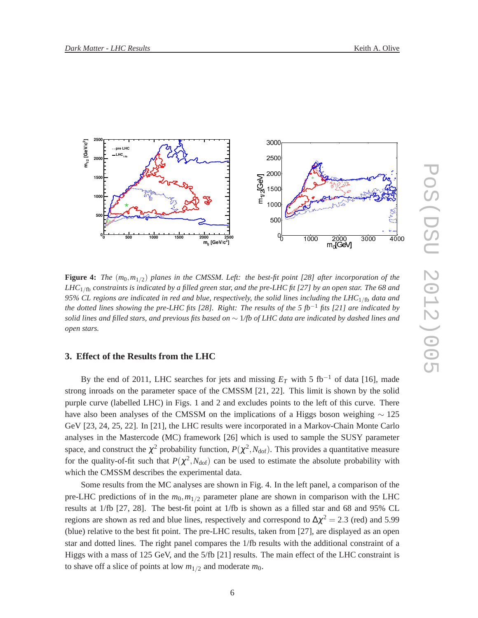

**Figure 4:** *The*  $(m_0, m_{1/2})$  planes in the CMSSM. Left: the best-fit point [28] after incorporation of the *LHC*1/fb *constraints is indicated by a filled green star, and the pre-LHC fit [27] by an open star. The 68 and 95% CL regions are indicated in red and blue, respectively, the solid lines including the LHC*1/fb *data and the dotted lines showing the pre-LHC fits [28]. Right: The results of the 5 fb*−<sup>1</sup> *fits [21] are indicated by solid lines and filled stars, and previous fits based on* ∼ 1*/fb of LHC data are indicated by dashed lines and open stars.*

# **3. Effect of the Results from the LHC**

By the end of 2011, LHC searches for jets and missing  $E_T$  with 5 fb<sup>-1</sup> of data [16], made strong inroads on the parameter space of the CMSSM [21, 22]. This limit is shown by the solid purple curve (labelled LHC) in Figs. 1 and 2 and excludes points to the left of this curve. There have also been analyses of the CMSSM on the implications of a Higgs boson weighing  $\sim$  125 GeV [23, 24, 25, 22]. In [21], the LHC results were incorporated in a Markov-Chain Monte Carlo analyses in the Mastercode (MC) framework [26] which is used to sample the SUSY parameter space, and construct the  $\chi^2$  probability function,  $P(\chi^2, N_{\text{dof}})$ . This provides a quantitative measure for the quality-of-fit such that  $P(\chi^2, N_{\text{dof}})$  can be used to estimate the absolute probability with which the CMSSM describes the experimental data.

Some results from the MC analyses are shown in Fig. 4. In the left panel, a comparison of the pre-LHC predictions of in the  $m_0, m_{1/2}$  parameter plane are shown in comparison with the LHC results at 1/fb [27, 28]. The best-fit point at 1/fb is shown as a filled star and 68 and 95% CL regions are shown as red and blue lines, respectively and correspond to  $\Delta \chi^2 = 2.3$  (red) and 5.99 (blue) relative to the best fit point. The pre-LHC results, taken from [27], are displayed as an open star and dotted lines. The right panel compares the 1/fb results with the additional constraint of a Higgs with a mass of 125 GeV, and the 5/fb [21] results. The main effect of the LHC constraint is to shave off a slice of points at low  $m_{1/2}$  and moderate  $m_0$ .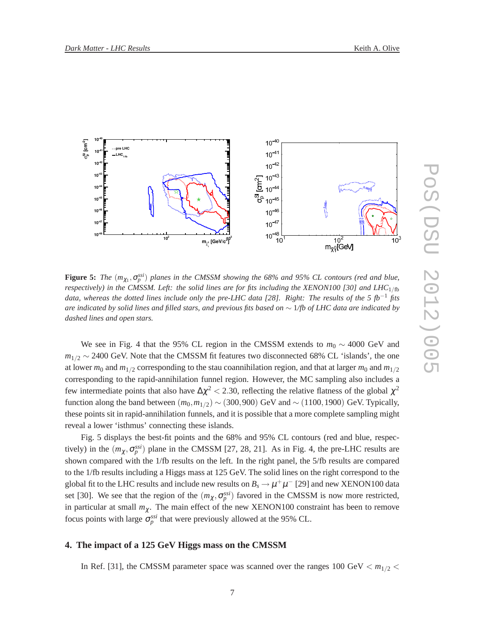

**Figure 5:** *The*  $(m_{\chi_1}, \sigma_p^{ssi})$  *planes in the CMSSM showing the 68% and 95% CL contours (red and blue, respectively) in the CMSSM. Left: the solid lines are for fits including the XENON100 [30] and LHC*<sub>1/fb</sub> *data, whereas the dotted lines include only the pre-LHC data [28]. Right: The results of the 5 fb*−<sup>1</sup> *fits are indicated by solid lines and filled stars, and previous fits based on* ∼ 1*/fb of LHC data are indicated by dashed lines and open stars.*

We see in Fig. 4 that the 95% CL region in the CMSSM extends to *m*<sup>0</sup> ∼ 4000 GeV and *m*<sub>1/2</sub> ~ 2400 GeV. Note that the CMSSM fit features two disconnected 68% CL 'islands', the one at lower  $m_0$  and  $m_{1/2}$  corresponding to the stau coannihilation region, and that at larger  $m_0$  and  $m_{1/2}$ corresponding to the rapid-annihilation funnel region. However, the MC sampling also includes a few intermediate points that also have  $\Delta \chi^2 < 2.30$ , reflecting the relative flatness of the global  $\chi^2$ function along the band between  $(m_0, m_{1/2}) \sim (300, 900)$  GeV and  $\sim (1100, 1900)$  GeV. Typically, these points sit in rapid-annihilation funnels, and it is possible that a more complete sampling might reveal a lower 'isthmus' connecting these islands.

Fig. 5 displays the best-fit points and the 68% and 95% CL contours (red and blue, respectively) in the  $(m_\chi, \sigma_p^{ssi})$  plane in the CMSSM [27, 28, 21]. As in Fig. 4, the pre-LHC results are shown compared with the 1/fb results on the left. In the right panel, the 5/fb results are compared to the 1/fb results including a Higgs mass at 125 GeV. The solid lines on the right correspond to the global fit to the LHC results and include new results on  $B_s \to \mu^+\mu^-$  [29] and new XENON100 data set [30]. We see that the region of the  $(m_\chi, \sigma_p^{ssi})$  favored in the CMSSM is now more restricted, in particular at small  $m<sub>\chi</sub>$ . The main effect of the new XENON100 constraint has been to remove focus points with large  $\sigma_p^{ssi}$  that were previously allowed at the 95% CL.

#### **4. The impact of a 125 GeV Higgs mass on the CMSSM**

In Ref. [31], the CMSSM parameter space was scanned over the ranges  $100 \text{ GeV} < m_{1/2} <$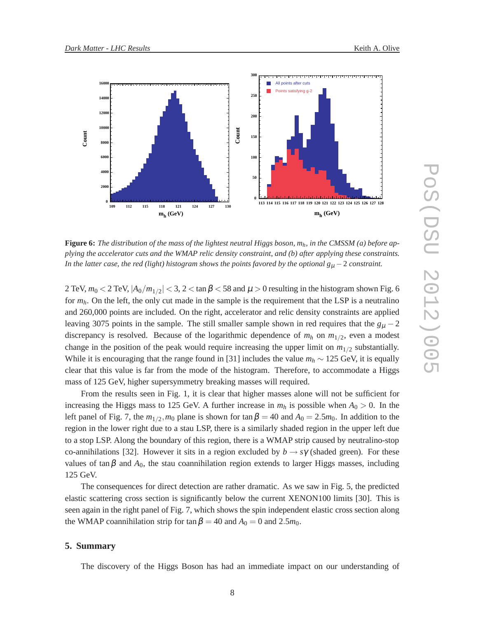

**Figure 6:** *The distribution of the mass of the lightest neutral Higgs boson, mh, in the CMSSM (a) before applying the accelerator cuts and the WMAP relic density constraint, and (b) after applying these constraints. In the latter case, the red (light) histogram shows the points favored by the optional*  $g_{\mu}$  *− 2 <i>constraint.* 

2 TeV,  $m_0 <$  2 TeV,  $|A_0/m_{1/2}| <$  3, 2  $<$  tan  $\beta$   $<$  58 and  $\mu$   $>$  0 resulting in the histogram shown Fig. 6 for *mh*. On the left, the only cut made in the sample is the requirement that the LSP is a neutralino and 260,000 points are included. On the right, accelerator and relic density constraints are applied leaving 3075 points in the sample. The still smaller sample shown in red requires that the  $g<sub>u</sub> - 2$ discrepancy is resolved. Because of the logarithmic dependence of  $m_h$  on  $m_{1/2}$ , even a modest change in the position of the peak would require increasing the upper limit on  $m_{1/2}$  substantially. While it is encouraging that the range found in [31] includes the value *m<sup>h</sup>* ∼ 125 GeV, it is equally clear that this value is far from the mode of the histogram. Therefore, to accommodate a Higgs mass of 125 GeV, higher supersymmetry breaking masses will required.

From the results seen in Fig. 1, it is clear that higher masses alone will not be sufficient for increasing the Higgs mass to 125 GeV. A further increase in  $m_h$  is possible when  $A_0 > 0$ . In the left panel of Fig. 7, the  $m_{1/2}$ ,  $m_0$  plane is shown for tan  $\beta = 40$  and  $A_0 = 2.5m_0$ . In addition to the region in the lower right due to a stau LSP, there is a similarly shaded region in the upper left due to a stop LSP. Along the boundary of this region, there is a WMAP strip caused by neutralino-stop co-annihilations [32]. However it sits in a region excluded by  $b \rightarrow s\gamma$  (shaded green). For these values of  $\tan \beta$  and  $A_0$ , the stau coannihilation region extends to larger Higgs masses, including 125 GeV.

The consequences for direct detection are rather dramatic. As we saw in Fig. 5, the predicted elastic scattering cross section is significantly below the current XENON100 limits [30]. This is seen again in the right panel of Fig. 7, which shows the spin independent elastic cross section along the WMAP coannihilation strip for tan  $\beta = 40$  and  $A_0 = 0$  and 2.5 $m_0$ .

#### **5. Summary**

The discovery of the Higgs Boson has had an immediate impact on our understanding of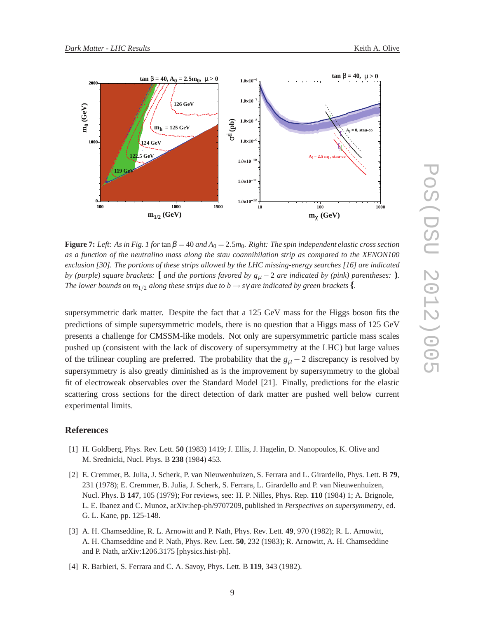

**Figure 7:** *Left:* As in Fig. 1 for tan  $\beta = 40$  and  $A_0 = 2.5m_0$ . Right: The spin independent elastic cross section *as a function of the neutralino mass along the stau coannihilation strip as compared to the XENON100 exclusion [30]. The portions of these strips allowed by the LHC missing-energy searches [16] are indicated by (purple) square brackets:*  $\left[$  *and the portions favored by*  $g_{\mu} - 2$  *are indicated by (pink) parentheses:*  $\right)$ *. The lower bounds on m*<sub>1/2</sub> *along these strips due to b*  $\rightarrow$  *s* $\gamma$  *are indicated by green brackets* {*.* 

supersymmetric dark matter. Despite the fact that a 125 GeV mass for the Higgs boson fits the predictions of simple supersymmetric models, there is no question that a Higgs mass of 125 GeV presents a challenge for CMSSM-like models. Not only are supersymmetric particle mass scales pushed up (consistent with the lack of discovery of supersymmetry at the LHC) but large values of the trilinear coupling are preferred. The probability that the  $g_{\mu} - 2$  discrepancy is resolved by supersymmetry is also greatly diminished as is the improvement by supersymmetry to the global fit of electroweak observables over the Standard Model [21]. Finally, predictions for the elastic scattering cross sections for the direct detection of dark matter are pushed well below current experimental limits.

#### **References**

- [1] H. Goldberg, Phys. Rev. Lett. **50** (1983) 1419; J. Ellis, J. Hagelin, D. Nanopoulos, K. Olive and M. Srednicki, Nucl. Phys. B **238** (1984) 453.
- [2] E. Cremmer, B. Julia, J. Scherk, P. van Nieuwenhuizen, S. Ferrara and L. Girardello, Phys. Lett. B **79**, 231 (1978); E. Cremmer, B. Julia, J. Scherk, S. Ferrara, L. Girardello and P. van Nieuwenhuizen, Nucl. Phys. B **147**, 105 (1979); For reviews, see: H. P. Nilles, Phys. Rep. **110** (1984) 1; A. Brignole, L. E. Ibanez and C. Munoz, arXiv:hep-ph/9707209, published in *Perspectives on supersymmetry*, ed. G. L. Kane, pp. 125-148.
- [3] A. H. Chamseddine, R. L. Arnowitt and P. Nath, Phys. Rev. Lett. **49**, 970 (1982); R. L. Arnowitt, A. H. Chamseddine and P. Nath, Phys. Rev. Lett. **50**, 232 (1983); R. Arnowitt, A. H. Chamseddine and P. Nath, arXiv:1206.3175 [physics.hist-ph].
- [4] R. Barbieri, S. Ferrara and C. A. Savoy, Phys. Lett. B **119**, 343 (1982).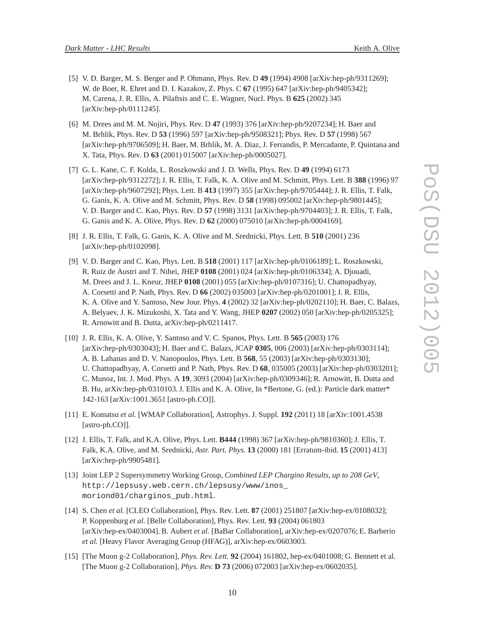- 
- [5] V. D. Barger, M. S. Berger and P. Ohmann, Phys. Rev. D **49** (1994) 4908 [arXiv:hep-ph/9311269]; W. de Boer, R. Ehret and D. I. Kazakov, Z. Phys. C **67** (1995) 647 [arXiv:hep-ph/9405342]; M. Carena, J. R. Ellis, A. Pilaftsis and C. E. Wagner, Nucl. Phys. B **625** (2002) 345 [arXiv:hep-ph/0111245].
- [6] M. Drees and M. M. Nojiri, Phys. Rev. D **47** (1993) 376 [arXiv:hep-ph/9207234]; H. Baer and M. Brhlik, Phys. Rev. D **53** (1996) 597 [arXiv:hep-ph/9508321]; Phys. Rev. D **57** (1998) 567 [arXiv:hep-ph/9706509]; H. Baer, M. Brhlik, M. A. Diaz, J. Ferrandis, P. Mercadante, P. Quintana and X. Tata, Phys. Rev. D **63** (2001) 015007 [arXiv:hep-ph/0005027].
- [7] G. L. Kane, C. F. Kolda, L. Roszkowski and J. D. Wells, Phys. Rev. D **49** (1994) 6173 [arXiv:hep-ph/9312272]; J. R. Ellis, T. Falk, K. A. Olive and M. Schmitt, Phys. Lett. B **388** (1996) 97 [arXiv:hep-ph/9607292]; Phys. Lett. B **413** (1997) 355 [arXiv:hep-ph/9705444]; J. R. Ellis, T. Falk, G. Ganis, K. A. Olive and M. Schmitt, Phys. Rev. D **58** (1998) 095002 [arXiv:hep-ph/9801445]; V. D. Barger and C. Kao, Phys. Rev. D **57** (1998) 3131 [arXiv:hep-ph/9704403]; J. R. Ellis, T. Falk, G. Ganis and K. A. Olive, Phys. Rev. D **62** (2000) 075010 [arXiv:hep-ph/0004169].
- [8] J. R. Ellis, T. Falk, G. Ganis, K. A. Olive and M. Srednicki, Phys. Lett. B **510** (2001) 236 [arXiv:hep-ph/0102098].
- [9] V. D. Barger and C. Kao, Phys. Lett. B **518** (2001) 117 [arXiv:hep-ph/0106189]; L. Roszkowski, R. Ruiz de Austri and T. Nihei, JHEP **0108** (2001) 024 [arXiv:hep-ph/0106334]; A. Djouadi, M. Drees and J. L. Kneur, JHEP **0108** (2001) 055 [arXiv:hep-ph/0107316]; U. Chattopadhyay, A. Corsetti and P. Nath, Phys. Rev. D **66** (2002) 035003 [arXiv:hep-ph/0201001]; J. R. Ellis, K. A. Olive and Y. Santoso, New Jour. Phys. **4** (2002) 32 [arXiv:hep-ph/0202110]; H. Baer, C. Balazs, A. Belyaev, J. K. Mizukoshi, X. Tata and Y. Wang, JHEP **0207** (2002) 050 [arXiv:hep-ph/0205325]; R. Arnowitt and B. Dutta, arXiv:hep-ph/0211417.
- [10] J. R. Ellis, K. A. Olive, Y. Santoso and V. C. Spanos, Phys. Lett. B **565** (2003) 176 [arXiv:hep-ph/0303043]; H. Baer and C. Balazs, JCAP **0305**, 006 (2003) [arXiv:hep-ph/0303114]; A. B. Lahanas and D. V. Nanopoulos, Phys. Lett. B **568**, 55 (2003) [arXiv:hep-ph/0303130]; U. Chattopadhyay, A. Corsetti and P. Nath, Phys. Rev. D **68**, 035005 (2003) [arXiv:hep-ph/0303201]; C. Munoz, Int. J. Mod. Phys. A **19**, 3093 (2004) [arXiv:hep-ph/0309346]; R. Arnowitt, B. Dutta and B. Hu, arXiv:hep-ph/0310103. J. Ellis and K. A. Olive, In \*Bertone, G. (ed.): Particle dark matter\* 142-163 [arXiv:1001.3651 [astro-ph.CO]].
- [11] E. Komatsu *et al.* [WMAP Collaboration], Astrophys. J. Suppl. **192** (2011) 18 [arXiv:1001.4538 [astro-ph.CO]].
- [12] J. Ellis, T. Falk, and K.A. Olive, Phys. Lett. **B444** (1998) 367 [arXiv:hep-ph/9810360]; J. Ellis, T. Falk, K.A. Olive, and M. Srednicki, *Astr. Part. Phys.* **13** (2000) 181 [Erratum-ibid. **15** (2001) 413] [arXiv:hep-ph/9905481].
- [13] Joint LEP 2 Supersymmetry Working Group, *Combined LEP Chargino Results, up to 208 GeV*, http://lepsusy.web.cern.ch/lepsusy/www/inos\_ moriond01/charginos\_pub.html.
- [14] S. Chen *et al.* [CLEO Collaboration], Phys. Rev. Lett. **87** (2001) 251807 [arXiv:hep-ex/0108032]; P. Koppenburg *et al.* [Belle Collaboration], Phys. Rev. Lett. **93** (2004) 061803 [arXiv:hep-ex/0403004]. B. Aubert *et al.* [BaBar Collaboration], arXiv:hep-ex/0207076; E. Barberio *et al.* [Heavy Flavor Averaging Group (HFAG)], arXiv:hep-ex/0603003.
- [15] [The Muon g-2 Collaboration], *Phys. Rev. Lett.* **92** (2004) 161802, hep-ex/0401008; G. Bennett et al. [The Muon g-2 Collaboration], *Phys. Rev.* **D 73** (2006) 072003 [arXiv:hep-ex/0602035].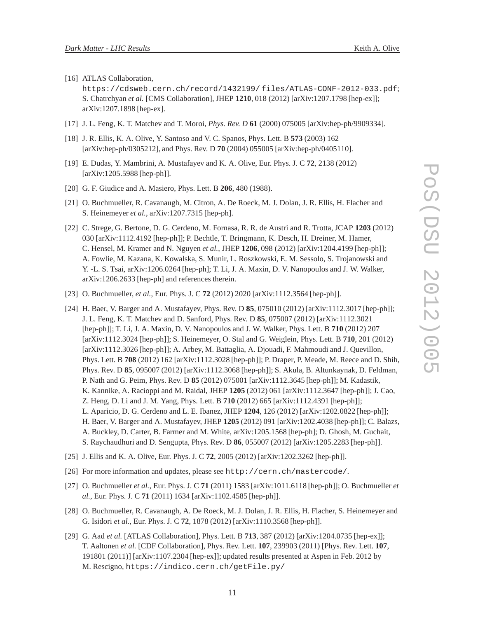[16] ATLAS Collaboration,

https://cdsweb.cern.ch/record/1432199/ files/ATLAS-CONF-2012-033.pdf; S. Chatrchyan *et al.* [CMS Collaboration], JHEP **1210**, 018 (2012) [arXiv:1207.1798 [hep-ex]]; arXiv:1207.1898 [hep-ex].

- [17] J. L. Feng, K. T. Matchev and T. Moroi, *Phys. Rev. D* **61** (2000) 075005 [arXiv:hep-ph/9909334].
- [18] J. R. Ellis, K. A. Olive, Y. Santoso and V. C. Spanos, Phys. Lett. B **573** (2003) 162 [arXiv:hep-ph/0305212], and Phys. Rev. D **70** (2004) 055005 [arXiv:hep-ph/0405110].
- [19] E. Dudas, Y. Mambrini, A. Mustafayev and K. A. Olive, Eur. Phys. J. C **72**, 2138 (2012) [arXiv:1205.5988 [hep-ph]].
- [20] G. F. Giudice and A. Masiero, Phys. Lett. B **206**, 480 (1988).
- [21] O. Buchmueller, R. Cavanaugh, M. Citron, A. De Roeck, M. J. Dolan, J. R. Ellis, H. Flacher and S. Heinemeyer *et al.*, arXiv:1207.7315 [hep-ph].
- [22] C. Strege, G. Bertone, D. G. Cerdeno, M. Fornasa, R. R. de Austri and R. Trotta, JCAP **1203** (2012) 030 [arXiv:1112.4192 [hep-ph]]; P. Bechtle, T. Bringmann, K. Desch, H. Dreiner, M. Hamer, C. Hensel, M. Kramer and N. Nguyen *et al.*, JHEP **1206**, 098 (2012) [arXiv:1204.4199 [hep-ph]]; A. Fowlie, M. Kazana, K. Kowalska, S. Munir, L. Roszkowski, E. M. Sessolo, S. Trojanowski and Y. -L. S. Tsai, arXiv:1206.0264 [hep-ph]; T. Li, J. A. Maxin, D. V. Nanopoulos and J. W. Walker, arXiv:1206.2633 [hep-ph] and references therein.
- [23] O. Buchmueller, *et al.*, Eur. Phys. J. C **72** (2012) 2020 [arXiv:1112.3564 [hep-ph]].
- [24] H. Baer, V. Barger and A. Mustafayev, Phys. Rev. D **85**, 075010 (2012) [arXiv:1112.3017 [hep-ph]]; J. L. Feng, K. T. Matchev and D. Sanford, Phys. Rev. D **85**, 075007 (2012) [arXiv:1112.3021 [hep-ph]]; T. Li, J. A. Maxin, D. V. Nanopoulos and J. W. Walker, Phys. Lett. B **710** (2012) 207 [arXiv:1112.3024 [hep-ph]]; S. Heinemeyer, O. Stal and G. Weiglein, Phys. Lett. B **710**, 201 (2012) [arXiv:1112.3026 [hep-ph]]; A. Arbey, M. Battaglia, A. Djouadi, F. Mahmoudi and J. Quevillon, Phys. Lett. B **708** (2012) 162 [arXiv:1112.3028 [hep-ph]]; P. Draper, P. Meade, M. Reece and D. Shih, Phys. Rev. D **85**, 095007 (2012) [arXiv:1112.3068 [hep-ph]]; S. Akula, B. Altunkaynak, D. Feldman, P. Nath and G. Peim, Phys. Rev. D **85** (2012) 075001 [arXiv:1112.3645 [hep-ph]]; M. Kadastik, K. Kannike, A. Racioppi and M. Raidal, JHEP **1205** (2012) 061 [arXiv:1112.3647 [hep-ph]]; J. Cao, Z. Heng, D. Li and J. M. Yang, Phys. Lett. B **710** (2012) 665 [arXiv:1112.4391 [hep-ph]]; L. Aparicio, D. G. Cerdeno and L. E. Ibanez, JHEP **1204**, 126 (2012) [arXiv:1202.0822 [hep-ph]]; H. Baer, V. Barger and A. Mustafayev, JHEP **1205** (2012) 091 [arXiv:1202.4038 [hep-ph]]; C. Balazs, A. Buckley, D. Carter, B. Farmer and M. White, arXiv:1205.1568 [hep-ph]; D. Ghosh, M. Guchait, S. Raychaudhuri and D. Sengupta, Phys. Rev. D **86**, 055007 (2012) [arXiv:1205.2283 [hep-ph]].
- [25] J. Ellis and K. A. Olive, Eur. Phys. J. C **72**, 2005 (2012) [arXiv:1202.3262 [hep-ph]].
- [26] For more information and updates, please see http://cern.ch/mastercode/.
- [27] O. Buchmueller *et al.*, Eur. Phys. J. C **71** (2011) 1583 [arXiv:1011.6118 [hep-ph]]; O. Buchmueller *et al.*, Eur. Phys. J. C **71** (2011) 1634 [arXiv:1102.4585 [hep-ph]].
- [28] O. Buchmueller, R. Cavanaugh, A. De Roeck, M. J. Dolan, J. R. Ellis, H. Flacher, S. Heinemeyer and G. Isidori *et al.*, Eur. Phys. J. C **72**, 1878 (2012) [arXiv:1110.3568 [hep-ph]].
- [29] G. Aad *et al.* [ATLAS Collaboration], Phys. Lett. B **713**, 387 (2012) [arXiv:1204.0735 [hep-ex]]; T. Aaltonen *et al.* [CDF Collaboration], Phys. Rev. Lett. **107**, 239903 (2011) [Phys. Rev. Lett. **107**, 191801 (2011)] [arXiv:1107.2304 [hep-ex]]; updated results presented at Aspen in Feb. 2012 by M. Rescigno, https://indico.cern.ch/getFile.py/